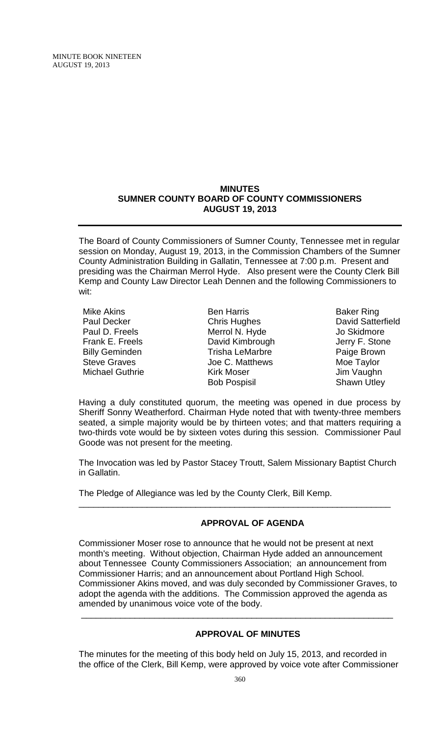MINUTE BOOK NINETEEN AUGUST 19, 2013

#### **MINUTES SUMNER COUNTY BOARD OF COUNTY COMMISSIONERS AUGUST 19, 2013**

The Board of County Commissioners of Sumner County, Tennessee met in regular session on Monday, August 19, 2013, in the Commission Chambers of the Sumner County Administration Building in Gallatin, Tennessee at 7:00 p.m. Present and presiding was the Chairman Merrol Hyde. Also present were the County Clerk Bill Kemp and County Law Director Leah Dennen and the following Commissioners to wit:

- Mike Akins Paul Decker Paul D. Freels Frank E. Freels Billy Geminden Steve Graves Michael Guthrie
- Ben Harris Chris Hughes Merrol N. Hyde David Kimbrough Trisha LeMarbre Joe C. Matthews Kirk Moser Bob Pospisil
- Baker Ring David Satterfield Jo Skidmore Jerry F. Stone Paige Brown Moe Taylor Jim Vaughn Shawn Utley

Having a duly constituted quorum, the meeting was opened in due process by Sheriff Sonny Weatherford. Chairman Hyde noted that with twenty-three members seated, a simple majority would be by thirteen votes; and that matters requiring a two-thirds vote would be by sixteen votes during this session. Commissioner Paul Goode was not present for the meeting.

The Invocation was led by Pastor Stacey Troutt, Salem Missionary Baptist Church in Gallatin.

\_\_\_\_\_\_\_\_\_\_\_\_\_\_\_\_\_\_\_\_\_\_\_\_\_\_\_\_\_\_\_\_\_\_\_\_\_\_\_\_\_\_\_\_\_\_\_\_\_\_\_\_\_\_\_\_\_\_\_\_\_\_\_\_

The Pledge of Allegiance was led by the County Clerk, Bill Kemp.

# **APPROVAL OF AGENDA**

Commissioner Moser rose to announce that he would not be present at next month's meeting. Without objection, Chairman Hyde added an announcement about Tennessee County Commissioners Association; an announcement from Commissioner Harris; and an announcement about Portland High School. Commissioner Akins moved, and was duly seconded by Commissioner Graves, to adopt the agenda with the additions. The Commission approved the agenda as amended by unanimous voice vote of the body.

\_\_\_\_\_\_\_\_\_\_\_\_\_\_\_\_\_\_\_\_\_\_\_\_\_\_\_\_\_\_\_\_\_\_\_\_\_\_\_\_\_\_\_\_\_\_\_\_\_\_\_\_\_\_\_\_\_\_\_\_\_\_\_\_

# **APPROVAL OF MINUTES**

The minutes for the meeting of this body held on July 15, 2013, and recorded in the office of the Clerk, Bill Kemp, were approved by voice vote after Commissioner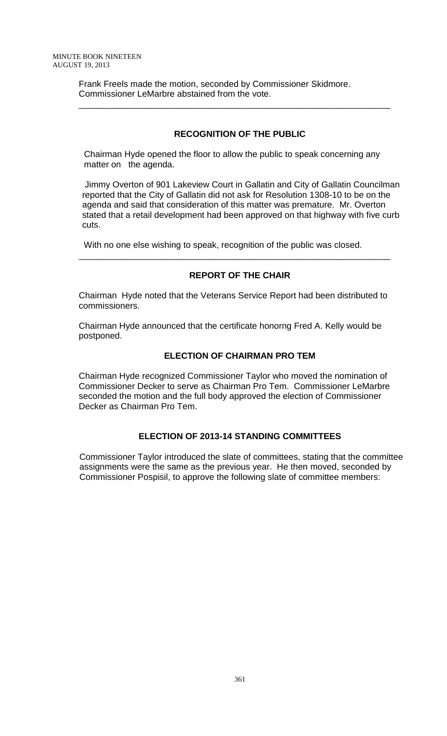Frank Freels made the motion, seconded by Commissioner Skidmore. Commissioner LeMarbre abstained from the vote.

## **RECOGNITION OF THE PUBLIC**

\_\_\_\_\_\_\_\_\_\_\_\_\_\_\_\_\_\_\_\_\_\_\_\_\_\_\_\_\_\_\_\_\_\_\_\_\_\_\_\_\_\_\_\_\_\_\_\_\_\_\_\_\_\_\_\_\_\_\_\_\_\_\_\_

 Chairman Hyde opened the floor to allow the public to speak concerning any matter on the agenda.

Jimmy Overton of 901 Lakeview Court in Gallatin and City of Gallatin Councilman reported that the City of Gallatin did not ask for Resolution 1308-10 to be on the agenda and said that consideration of this matter was premature. Mr. Overton stated that a retail development had been approved on that highway with five curb cuts.

With no one else wishing to speak, recognition of the public was closed.

#### **REPORT OF THE CHAIR**

\_\_\_\_\_\_\_\_\_\_\_\_\_\_\_\_\_\_\_\_\_\_\_\_\_\_\_\_\_\_\_\_\_\_\_\_\_\_\_\_\_\_\_\_\_\_\_\_\_\_\_\_\_\_\_\_\_\_\_\_\_\_\_\_

Chairman Hyde noted that the Veterans Service Report had been distributed to commissioners.

Chairman Hyde announced that the certificate honorng Fred A. Kelly would be postponed.

#### **ELECTION OF CHAIRMAN PRO TEM**

Chairman Hyde recognized Commissioner Taylor who moved the nomination of Commissioner Decker to serve as Chairman Pro Tem. Commissioner LeMarbre seconded the motion and the full body approved the election of Commissioner Decker as Chairman Pro Tem.

#### **ELECTION OF 2013-14 STANDING COMMITTEES**

 Commissioner Taylor introduced the slate of committees, stating that the committee assignments were the same as the previous year. He then moved, seconded by Commissioner Pospisil, to approve the following slate of committee members: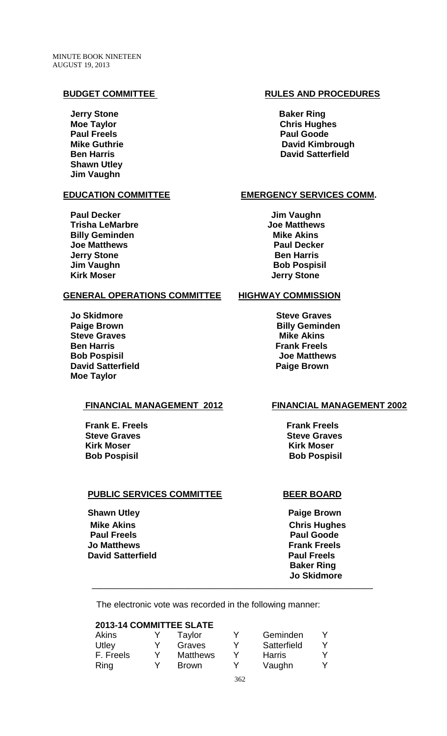**Jerry Stone Baker Ring Paul Freels Paul Goode Shawn Utley Jim Vaughn** 

 **Paul Decker Contract Contract Contract Contract Contract Contract Contract Contract Contract Contract Contract Contract Contract Contract Contract Contract Contract Contract Contract Contract Contract Contract Contract Trisha LeMarbre Community Community Community Community Community Community Community Community Community Community Billy Geminden Mike Akins Joe Matthews Paul Decker Jerry Stone Ben Harris Ben Harris** *Jim Vaughn* **Bob Pospisil Kirk Moser General Contract Contract Contract Contract Contract Contract Contract Contract Contract Contract Contract Contract Contract Contract Contract Contract Contract Contract Contract Contract Contract Contract Co** 

#### **GENERAL OPERATIONS COMMITTEE HIGHWAY COMMISSION**

**Jo Skidmore** Steve Graves **Paige Brown Billy Geminden Steve Graves** Mike Akins **Ben Harris Frank Freels Bob Pospisil Joe Matthews David Satterfield Paige Brown Paige Brown Moe Taylor** 

#### **FINANCIAL MANAGEMENT 2012 FINANCIAL MANAGEMENT 2002**

**Frank E. Freels** Frank Freels **Steve Graves** Steve Graves **Kirk Moser Kirk Moser Bob Pospisil Bob Pospisil**

#### **PUBLIC SERVICES COMMITTEE BEER BOARD**

**Shawn Utley Community Community Community Paige Brown Mike Akins** Chris Hughes  **Paul Freels Paul Goode Jo Matthews The Community Community Community Community Community Community Community Community Community Community David Satterfield Paul Freels** 

### **BUDGET COMMITTEE RULES AND PROCEDURES**

**Moe Taylor Chris Hughes Mike Guthrie Community Community Community Community David Kimbrough and David Kimbrough and David Kimbrough American Ben Harris Community Community Community Community Community David Satterfield** 

#### **EDUCATION COMMITTEE EXERGENCY SERVICES COMM.**

 **Baker Ring Jo Skidmore**

The electronic vote was recorded in the following manner:

 **\_\_\_\_\_\_\_\_\_\_\_\_\_\_\_\_\_\_\_\_\_\_\_\_\_\_\_\_\_\_\_\_\_\_\_\_\_\_\_\_\_\_\_\_\_\_\_\_\_\_\_\_\_\_\_\_\_\_\_\_\_\_\_\_\_\_\_\_\_\_**

#### **2013-14 COMMITTEE SLATE**

| Akins     | Taylor          | Y | Geminden      |  |
|-----------|-----------------|---|---------------|--|
| Utley     | Graves          | Y | Satterfield   |  |
| F. Freels | <b>Matthews</b> | v | <b>Harris</b> |  |
| Ring      | <b>Brown</b>    | Y | Vaughn        |  |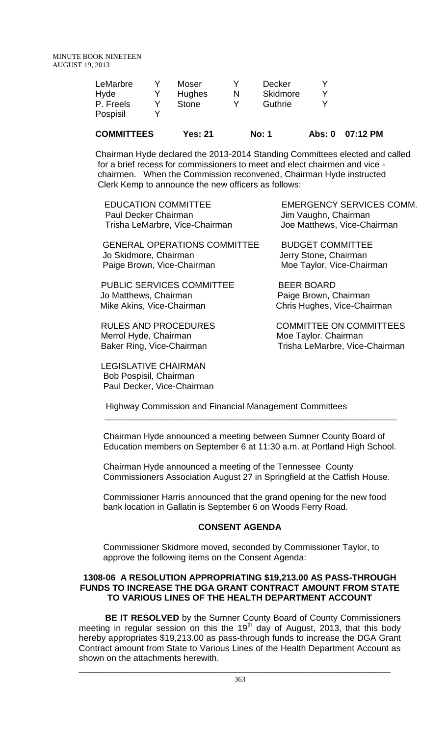| LeMarbre  | Moser         |   | Decker   |  |
|-----------|---------------|---|----------|--|
| Hyde      | <b>Hughes</b> | N | Skidmore |  |
| P. Freels | <b>Stone</b>  |   | Guthrie  |  |
| Pospisil  |               |   |          |  |
|           |               |   |          |  |

# **COMMITTEES Yes: 21 No: 1 Abs: 0 07:12 PM**

Chairman Hyde declared the 2013-2014 Standing Committees elected and called for a brief recess for commissioners to meet and elect chairmen and vice chairmen. When the Commission reconvened, Chairman Hyde instructed Clerk Kemp to announce the new officers as follows:

| <b>EDUCATION COMMITTEE</b>     |  |
|--------------------------------|--|
| <b>Paul Decker Chairman</b>    |  |
| Trisha LeMarbre, Vice-Chairman |  |

GENERAL OPERATIONS COMMITTEE BUDGET COMMITTEE Jo Skidmore, Chairman Jerry Stone, Chairman Paige Brown, Vice-Chairman Moe Taylor, Vice-Chairman

PUBLIC SERVICES COMMITTEE BEER BOARD Jo Matthews, Chairman<br>
Mike Akins, Vice-Chairman<br>
Chris Hughes, Vice-Chairman<br>
Paige Brown, Chairman

Merrol Hyde, Chairman Moe Taylor. Chairman

 LEGISLATIVE CHAIRMAN Bob Pospisil, Chairman Paul Decker, Vice-Chairman

EMERGENCY SERVICES COMM. Jim Vaughn, Chairman Joe Matthews, Vice-Chairman

Chris Hughes, Vice-Chairman

RULES AND PROCEDURES COMMITTEE ON COMMITTEES Baker Ring, Vice-Chairman Trisha LeMarbre, Vice-Chairman

Highway Commission and Financial Management Committees

Chairman Hyde announced a meeting between Sumner County Board of Education members on September 6 at 11:30 a.m. at Portland High School.

 **\_\_\_\_\_\_\_\_\_\_\_\_\_\_\_\_\_\_\_\_\_\_\_\_\_\_\_\_\_\_\_\_\_\_\_\_\_\_\_\_\_\_\_\_\_\_\_\_\_\_\_\_\_\_\_\_\_\_\_\_**

 Chairman Hyde announced a meeting of the Tennessee County Commissioners Association August 27 in Springfield at the Catfish House.

Commissioner Harris announced that the grand opening for the new food bank location in Gallatin is September 6 on Woods Ferry Road.

# **CONSENT AGENDA**

Commissioner Skidmore moved, seconded by Commissioner Taylor, to approve the following items on the Consent Agenda:

#### **1308-06 A RESOLUTION APPROPRIATING \$19,213.00 AS PASS-THROUGH FUNDS TO INCREASE THE DGA GRANT CONTRACT AMOUNT FROM STATE TO VARIOUS LINES OF THE HEALTH DEPARTMENT ACCOUNT**

**BE IT RESOLVED** by the Sumner County Board of County Commissioners meeting in regular session on this the 19<sup>th</sup> day of August, 2013, that this body hereby appropriates \$19,213.00 as pass-through funds to increase the DGA Grant Contract amount from State to Various Lines of the Health Department Account as shown on the attachments herewith.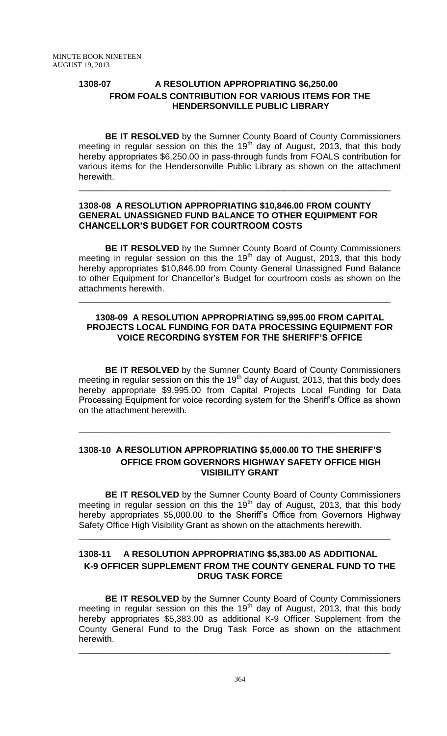# **1308-07 A RESOLUTION APPROPRIATING \$6,250.00 FROM FOALS CONTRIBUTION FOR VARIOUS ITEMS FOR THE HENDERSONVILLE PUBLIC LIBRARY**

**BE IT RESOLVED** by the Sumner County Board of County Commissioners meeting in regular session on this the 19<sup>th</sup> day of August, 2013, that this body hereby appropriates \$6,250.00 in pass-through funds from FOALS contribution for various items for the Hendersonville Public Library as shown on the attachment herewith.

#### **1308-08 A RESOLUTION APPROPRIATING \$10,846.00 FROM COUNTY GENERAL UNASSIGNED FUND BALANCE TO OTHER EQUIPMENT FOR CHANCELLOR'S BUDGET FOR COURTROOM COSTS**

\_\_\_\_\_\_\_\_\_\_\_\_\_\_\_\_\_\_\_\_\_\_\_\_\_\_\_\_\_\_\_\_\_\_\_\_\_\_\_\_\_\_\_\_\_\_\_\_\_\_\_\_\_\_\_\_\_\_\_\_\_\_\_\_

**BE IT RESOLVED** by the Sumner County Board of County Commissioners meeting in regular session on this the  $19<sup>th</sup>$  day of August, 2013, that this body hereby appropriates \$10,846.00 from County General Unassigned Fund Balance to other Equipment for Chancellor's Budget for courtroom costs as shown on the attachments herewith.

### **1308-09 A RESOLUTION APPROPRIATING \$9,995.00 FROM CAPITAL PROJECTS LOCAL FUNDING FOR DATA PROCESSING EQUIPMENT FOR VOICE RECORDING SYSTEM FOR THE SHERIFF'S OFFICE**

\_\_\_\_\_\_\_\_\_\_\_\_\_\_\_\_\_\_\_\_\_\_\_\_\_\_\_\_\_\_\_\_\_\_\_\_\_\_\_\_\_\_\_\_\_\_\_\_\_\_\_\_\_\_\_\_\_\_\_\_\_\_\_\_

**BE IT RESOLVED** by the Sumner County Board of County Commissioners meeting in regular session on this the 19<sup>th</sup> day of August, 2013, that this body does hereby appropriate \$9,995.00 from Capital Projects Local Funding for Data Processing Equipment for voice recording system for the Sheriff's Office as shown on the attachment herewith.

# **1308-10 A RESOLUTION APPROPRIATING \$5,000.00 TO THE SHERIFF'S OFFICE FROM GOVERNORS HIGHWAY SAFETY OFFICE HIGH VISIBILITY GRANT**

**\_\_\_\_\_\_\_\_\_\_\_\_\_\_\_\_\_\_\_\_\_\_\_\_\_\_\_\_\_\_\_\_\_\_\_\_\_\_\_\_\_\_\_\_\_\_\_\_\_\_\_\_\_\_\_\_\_\_\_\_\_\_\_\_**

**BE IT RESOLVED** by the Sumner County Board of County Commissioners meeting in regular session on this the 19<sup>th</sup> day of August, 2013, that this body hereby appropriates \$5,000.00 to the Sheriff's Office from Governors Highway Safety Office High Visibility Grant as shown on the attachments herewith.

# **1308-11 A RESOLUTION APPROPRIATING \$5,383.00 AS ADDITIONAL K-9 OFFICER SUPPLEMENT FROM THE COUNTY GENERAL FUND TO THE DRUG TASK FORCE**

\_\_\_\_\_\_\_\_\_\_\_\_\_\_\_\_\_\_\_\_\_\_\_\_\_\_\_\_\_\_\_\_\_\_\_\_\_\_\_\_\_\_\_\_\_\_\_\_\_\_\_\_\_\_\_\_\_\_\_\_\_\_\_\_

**BE IT RESOLVED** by the Sumner County Board of County Commissioners meeting in regular session on this the  $19<sup>th</sup>$  day of August, 2013, that this body hereby appropriates \$5,383.00 as additional K-9 Officer Supplement from the County General Fund to the Drug Task Force as shown on the attachment herewith.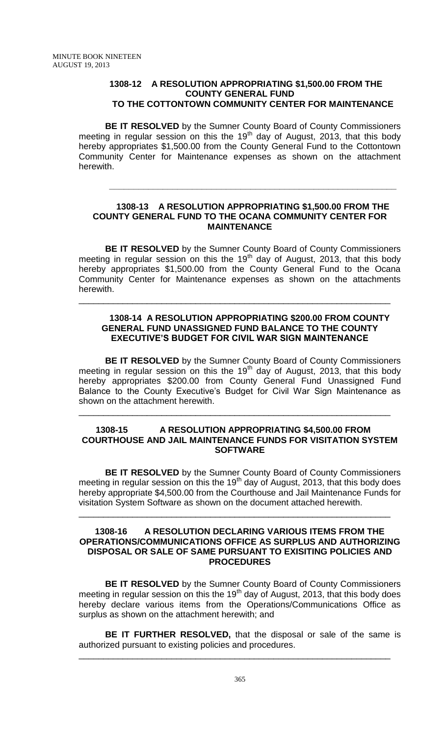#### **1308-12 A RESOLUTION APPROPRIATING \$1,500.00 FROM THE COUNTY GENERAL FUND TO THE COTTONTOWN COMMUNITY CENTER FOR MAINTENANCE**

**BE IT RESOLVED** by the Sumner County Board of County Commissioners meeting in regular session on this the 19<sup>th</sup> day of August, 2013, that this body hereby appropriates \$1,500.00 from the County General Fund to the Cottontown Community Center for Maintenance expenses as shown on the attachment herewith.

#### **1308-13 A RESOLUTION APPROPRIATING \$1,500.00 FROM THE COUNTY GENERAL FUND TO THE OCANA COMMUNITY CENTER FOR MAINTENANCE**

**\_\_\_\_\_\_\_\_\_\_\_\_\_\_\_\_\_\_\_\_\_\_\_\_\_\_\_\_\_\_\_\_\_\_\_\_\_\_\_\_\_\_\_\_\_\_\_\_\_\_\_\_\_\_\_\_\_\_\_**

**BE IT RESOLVED** by the Sumner County Board of County Commissioners meeting in regular session on this the 19<sup>th</sup> day of August, 2013, that this body hereby appropriates \$1,500.00 from the County General Fund to the Ocana Community Center for Maintenance expenses as shown on the attachments herewith.

\_\_\_\_\_\_\_\_\_\_\_\_\_\_\_\_\_\_\_\_\_\_\_\_\_\_\_\_\_\_\_\_\_\_\_\_\_\_\_\_\_\_\_\_\_\_\_\_\_\_\_\_\_\_\_\_\_\_\_\_\_\_\_\_

### **1308-14 A RESOLUTION APPROPRIATING \$200.00 FROM COUNTY GENERAL FUND UNASSIGNED FUND BALANCE TO THE COUNTY EXECUTIVE'S BUDGET FOR CIVIL WAR SIGN MAINTENANCE**

**BE IT RESOLVED** by the Sumner County Board of County Commissioners meeting in regular session on this the  $19<sup>th</sup>$  day of August, 2013, that this body hereby appropriates \$200.00 from County General Fund Unassigned Fund Balance to the County Executive's Budget for Civil War Sign Maintenance as shown on the attachment herewith.

#### **1308-15 A RESOLUTION APPROPRIATING \$4,500.00 FROM COURTHOUSE AND JAIL MAINTENANCE FUNDS FOR VISITATION SYSTEM SOFTWARE**

\_\_\_\_\_\_\_\_\_\_\_\_\_\_\_\_\_\_\_\_\_\_\_\_\_\_\_\_\_\_\_\_\_\_\_\_\_\_\_\_\_\_\_\_\_\_\_\_\_\_\_\_\_\_\_\_\_\_\_\_\_\_\_\_

**BE IT RESOLVED** by the Sumner County Board of County Commissioners meeting in regular session on this the 19<sup>th</sup> day of August, 2013, that this body does hereby appropriate \$4,500.00 from the Courthouse and Jail Maintenance Funds for visitation System Software as shown on the document attached herewith.

\_\_\_\_\_\_\_\_\_\_\_\_\_\_\_\_\_\_\_\_\_\_\_\_\_\_\_\_\_\_\_\_\_\_\_\_\_\_\_\_\_\_\_\_\_\_\_\_\_\_\_\_\_\_\_\_\_\_\_\_\_\_\_\_

#### **1308-16 A RESOLUTION DECLARING VARIOUS ITEMS FROM THE OPERATIONS/COMMUNICATIONS OFFICE AS SURPLUS AND AUTHORIZING DISPOSAL OR SALE OF SAME PURSUANT TO EXISITING POLICIES AND PROCEDURES**

**BE IT RESOLVED** by the Sumner County Board of County Commissioners meeting in regular session on this the  $19<sup>th</sup>$  day of August, 2013, that this body does hereby declare various items from the Operations/Communications Office as surplus as shown on the attachment herewith; and

**BE IT FURTHER RESOLVED,** that the disposal or sale of the same is authorized pursuant to existing policies and procedures.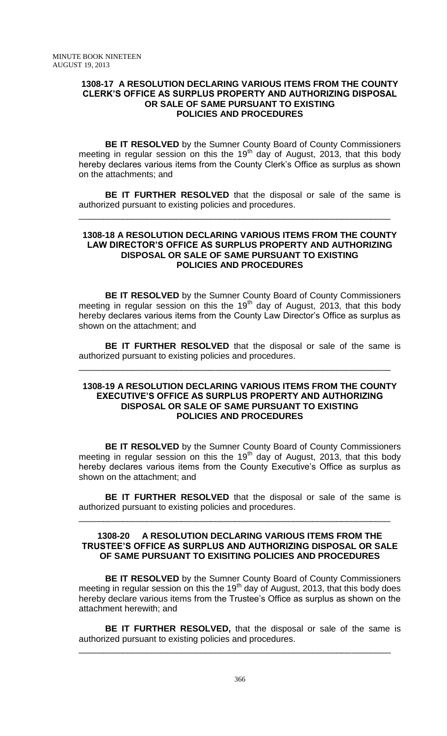#### **1308-17 A RESOLUTION DECLARING VARIOUS ITEMS FROM THE COUNTY CLERK'S OFFICE AS SURPLUS PROPERTY AND AUTHORIZING DISPOSAL OR SALE OF SAME PURSUANT TO EXISTING POLICIES AND PROCEDURES**

**BE IT RESOLVED** by the Sumner County Board of County Commissioners meeting in regular session on this the 19<sup>th</sup> day of August, 2013, that this body hereby declares various items from the County Clerk's Office as surplus as shown on the attachments; and

**BE IT FURTHER RESOLVED** that the disposal or sale of the same is authorized pursuant to existing policies and procedures.

\_\_\_\_\_\_\_\_\_\_\_\_\_\_\_\_\_\_\_\_\_\_\_\_\_\_\_\_\_\_\_\_\_\_\_\_\_\_\_\_\_\_\_\_\_\_\_\_\_\_\_\_\_\_\_\_\_\_\_\_\_\_\_\_

#### **1308-18 A RESOLUTION DECLARING VARIOUS ITEMS FROM THE COUNTY LAW DIRECTOR'S OFFICE AS SURPLUS PROPERTY AND AUTHORIZING DISPOSAL OR SALE OF SAME PURSUANT TO EXISTING POLICIES AND PROCEDURES**

**BE IT RESOLVED** by the Sumner County Board of County Commissioners meeting in regular session on this the 19<sup>th</sup> day of August, 2013, that this body hereby declares various items from the County Law Director's Office as surplus as shown on the attachment; and

**BE IT FURTHER RESOLVED** that the disposal or sale of the same is authorized pursuant to existing policies and procedures.

\_\_\_\_\_\_\_\_\_\_\_\_\_\_\_\_\_\_\_\_\_\_\_\_\_\_\_\_\_\_\_\_\_\_\_\_\_\_\_\_\_\_\_\_\_\_\_\_\_\_\_\_\_\_\_\_\_\_\_\_\_\_\_\_

#### **1308-19 A RESOLUTION DECLARING VARIOUS ITEMS FROM THE COUNTY EXECUTIVE'S OFFICE AS SURPLUS PROPERTY AND AUTHORIZING DISPOSAL OR SALE OF SAME PURSUANT TO EXISTING POLICIES AND PROCEDURES**

**BE IT RESOLVED** by the Sumner County Board of County Commissioners meeting in regular session on this the 19<sup>th</sup> day of August, 2013, that this body hereby declares various items from the County Executive's Office as surplus as shown on the attachment; and

**BE IT FURTHER RESOLVED** that the disposal or sale of the same is authorized pursuant to existing policies and procedures.

\_\_\_\_\_\_\_\_\_\_\_\_\_\_\_\_\_\_\_\_\_\_\_\_\_\_\_\_\_\_\_\_\_\_\_\_\_\_\_\_\_\_\_\_\_\_\_\_\_\_\_\_\_\_\_\_\_\_\_\_\_\_\_\_

#### **1308-20 A RESOLUTION DECLARING VARIOUS ITEMS FROM THE TRUSTEE'S OFFICE AS SURPLUS AND AUTHORIZING DISPOSAL OR SALE OF SAME PURSUANT TO EXISITING POLICIES AND PROCEDURES**

**BE IT RESOLVED** by the Sumner County Board of County Commissioners meeting in regular session on this the  $19<sup>th</sup>$  day of August, 2013, that this body does hereby declare various items from the Trustee's Office as surplus as shown on the attachment herewith; and

**BE IT FURTHER RESOLVED,** that the disposal or sale of the same is authorized pursuant to existing policies and procedures.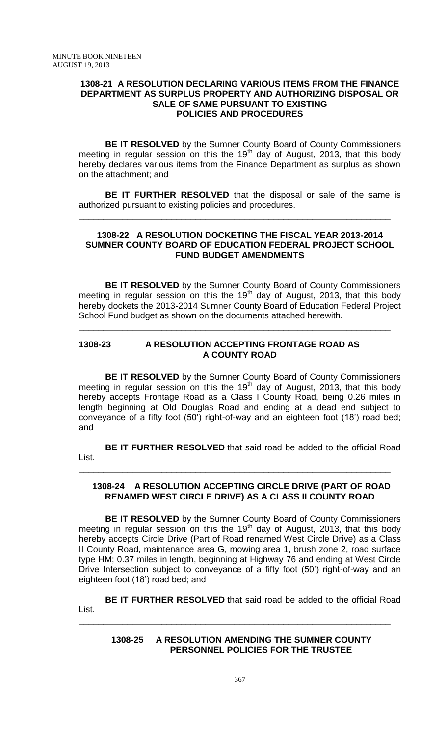#### **1308-21 A RESOLUTION DECLARING VARIOUS ITEMS FROM THE FINANCE DEPARTMENT AS SURPLUS PROPERTY AND AUTHORIZING DISPOSAL OR SALE OF SAME PURSUANT TO EXISTING POLICIES AND PROCEDURES**

**BE IT RESOLVED** by the Sumner County Board of County Commissioners meeting in regular session on this the 19<sup>th</sup> day of August, 2013, that this body hereby declares various items from the Finance Department as surplus as shown on the attachment; and

**BE IT FURTHER RESOLVED** that the disposal or sale of the same is authorized pursuant to existing policies and procedures.

\_\_\_\_\_\_\_\_\_\_\_\_\_\_\_\_\_\_\_\_\_\_\_\_\_\_\_\_\_\_\_\_\_\_\_\_\_\_\_\_\_\_\_\_\_\_\_\_\_\_\_\_\_\_\_\_\_\_\_\_\_\_\_\_

#### **1308-22 A RESOLUTION DOCKETING THE FISCAL YEAR 2013-2014 SUMNER COUNTY BOARD OF EDUCATION FEDERAL PROJECT SCHOOL FUND BUDGET AMENDMENTS**

**BE IT RESOLVED** by the Sumner County Board of County Commissioners meeting in regular session on this the 19<sup>th</sup> day of August, 2013, that this body hereby dockets the 2013-2014 Sumner County Board of Education Federal Project School Fund budget as shown on the documents attached herewith.

\_\_\_\_\_\_\_\_\_\_\_\_\_\_\_\_\_\_\_\_\_\_\_\_\_\_\_\_\_\_\_\_\_\_\_\_\_\_\_\_\_\_\_\_\_\_\_\_\_\_\_\_\_\_\_\_\_\_\_\_\_\_\_\_

#### **1308-23 A RESOLUTION ACCEPTING FRONTAGE ROAD AS A COUNTY ROAD**

**BE IT RESOLVED** by the Sumner County Board of County Commissioners meeting in regular session on this the 19<sup>th</sup> day of August, 2013, that this body hereby accepts Frontage Road as a Class I County Road, being 0.26 miles in length beginning at Old Douglas Road and ending at a dead end subject to conveyance of a fifty foot (50') right-of-way and an eighteen foot (18') road bed; and

**BE IT FURTHER RESOLVED** that said road be added to the official Road List.

\_\_\_\_\_\_\_\_\_\_\_\_\_\_\_\_\_\_\_\_\_\_\_\_\_\_\_\_\_\_\_\_\_\_\_\_\_\_\_\_\_\_\_\_\_\_\_\_\_\_\_\_\_\_\_\_\_\_\_\_\_\_\_\_

#### **1308-24 A RESOLUTION ACCEPTING CIRCLE DRIVE (PART OF ROAD RENAMED WEST CIRCLE DRIVE) AS A CLASS II COUNTY ROAD**

**BE IT RESOLVED** by the Sumner County Board of County Commissioners meeting in regular session on this the 19<sup>th</sup> day of August, 2013, that this body hereby accepts Circle Drive (Part of Road renamed West Circle Drive) as a Class II County Road, maintenance area G, mowing area 1, brush zone 2, road surface type HM; 0.37 miles in length, beginning at Highway 76 and ending at West Circle Drive Intersection subject to conveyance of a fifty foot (50') right-of-way and an eighteen foot (18') road bed; and

**BE IT FURTHER RESOLVED** that said road be added to the official Road List.

\_\_\_\_\_\_\_\_\_\_\_\_\_\_\_\_\_\_\_\_\_\_\_\_\_\_\_\_\_\_\_\_\_\_\_\_\_\_\_\_\_\_\_\_\_\_\_\_\_\_\_\_\_\_\_\_\_\_\_\_\_\_\_\_

**1308-25 A RESOLUTION AMENDING THE SUMNER COUNTY PERSONNEL POLICIES FOR THE TRUSTEE**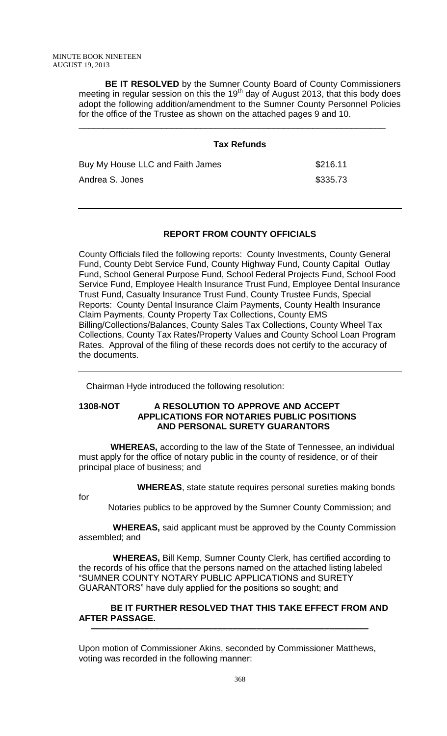**BE IT RESOLVED** by the Sumner County Board of County Commissioners meeting in regular session on this the  $19<sup>th</sup>$  day of August 2013, that this body does adopt the following addition/amendment to the Sumner County Personnel Policies for the office of the Trustee as shown on the attached pages 9 and 10.

\_\_\_\_\_\_\_\_\_\_\_\_\_\_\_\_\_\_\_\_\_\_\_\_\_\_\_\_\_\_\_\_\_\_\_\_\_\_\_\_\_\_\_\_\_\_\_\_\_\_\_\_\_\_\_\_\_\_\_\_\_\_\_

# **Tax Refunds** Buy My House LLC and Faith James **\$216.11** Andrea S. Jones  $$335.73$

# **REPORT FROM COUNTY OFFICIALS**

County Officials filed the following reports: County Investments, County General Fund, County Debt Service Fund, County Highway Fund, County Capital Outlay Fund, School General Purpose Fund, School Federal Projects Fund, School Food Service Fund, Employee Health Insurance Trust Fund, Employee Dental Insurance Trust Fund, Casualty Insurance Trust Fund, County Trustee Funds, Special Reports: County Dental Insurance Claim Payments, County Health Insurance Claim Payments, County Property Tax Collections, County EMS Billing/Collections/Balances, County Sales Tax Collections, County Wheel Tax Collections, County Tax Rates/Property Values and County School Loan Program Rates. Approval of the filing of these records does not certify to the accuracy of the documents.

Chairman Hyde introduced the following resolution:

#### **1308-NOT A RESOLUTION TO APPROVE AND ACCEPT APPLICATIONS FOR NOTARIES PUBLIC POSITIONS AND PERSONAL SURETY GUARANTORS**

 **WHEREAS,** according to the law of the State of Tennessee, an individual must apply for the office of notary public in the county of residence, or of their principal place of business; and

 **WHEREAS**, state statute requires personal sureties making bonds

| ۰<br>. . | v |
|----------|---|
| I<br>×   |   |
| w<br>۰.  |   |

Notaries publics to be approved by the Sumner County Commission; and

 **WHEREAS,** said applicant must be approved by the County Commission assembled; and

 **WHEREAS,** Bill Kemp, Sumner County Clerk, has certified according to the records of his office that the persons named on the attached listing labeled "SUMNER COUNTY NOTARY PUBLIC APPLICATIONS and SURETY GUARANTORS" have duly applied for the positions so sought; and

#### **BE IT FURTHER RESOLVED THAT THIS TAKE EFFECT FROM AND AFTER PASSAGE. –––––––––––––––––––––––––––––––––––––––––––––––––––––––––**

Upon motion of Commissioner Akins, seconded by Commissioner Matthews, voting was recorded in the following manner: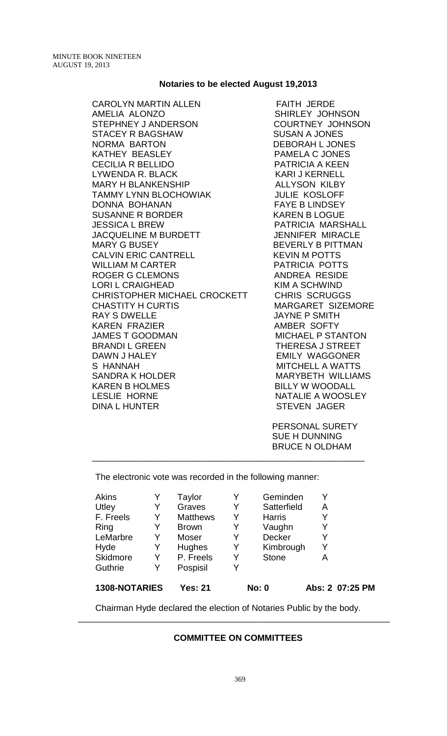#### **Notaries to be elected August 19,2013**

CAROLYN MARTIN ALLEN FAITH JERDE AMELIA ALONZO **SHIRLEY JOHNSON** STEPHNEY JANDERSON COURTNEY JOHNSON STACEY R BAGSHAW SUSAN A JONES NORMA BARTON DEBORAH LJONES KATHEY BEASLEY **Example 20 FOR SEAL ASSESS** CECILIA R BELLIDO PATRICIA A KEEN LYWENDA R. BLACK KARI J KERNELL MARY H BLANKENSHIP ALLYSON KILBY TAMMY LYNN BLOCHOWIAK JULIE KOSLOFF DONNA BOHANAN FAYE B LINDSEY SUSANNE R BORDER KAREN B LOGUE JESSICA L BREW PATRICIA MARSHALL JACQUELINE M BURDETT JENNIFER MIRACLE MARY G BUSEY BEVERLY B PITTMAN CALVIN ERIC CANTRELL KEVIN M POTTS WILLIAM M CARTER PATRICIA POTTS ROGER G CLEMONS ANDREA RESIDE LORI L CRAIGHEAD KIM A SCHWIND CHRISTOPHER MICHAEL CROCKETT CHRIS SCRUGGS CHASTITY H CURTIS **Example 20 MARGARET** SIZEMORE RAY S DWELLE JAYNE P SMITH KAREN FRAZIER AMBER SOFTY JAMES T GOODMAN MICHAEL P STANTON BRANDI L GREEN THERESA J STREET DAWN J HALEY **EMILY WAGGONER** S HANNAH MITCHELL A WATTS SANDRA K HOLDER MARYBETH WILLIAMS KAREN B HOLMES BILLY W WOODALL LESLIE HORNE NATALIE A WOOSLEY DINA L HUNTER STEVEN JAGER

 PERSONAL SURETY SUE H DUNNING BRUCE N OLDHAM

The electronic vote was recorded in the following manner:

| 1308-NOTARIES |   | <b>Yes: 21</b>  |   | <b>No: 0</b>  |   | Abs: 2 07:25 PM |
|---------------|---|-----------------|---|---------------|---|-----------------|
| Guthrie       | Y | Pospisil        | Y |               |   |                 |
| Skidmore      | Y | P. Freels       | Y | <b>Stone</b>  | Α |                 |
| Hyde          | Y | <b>Hughes</b>   | Y | Kimbrough     | Y |                 |
| LeMarbre      | Y | Moser           | Y | Decker        | Y |                 |
| Ring          | Y | <b>Brown</b>    | Y | Vaughn        | Y |                 |
| F. Freels     | Y | <b>Matthews</b> | Y | <b>Harris</b> |   |                 |
| Utley         | Y | Graves          | Y | Satterfield   | Α |                 |
| <b>Akins</b>  |   | Taylor          | Y | Geminden      |   |                 |

\_\_\_\_\_\_\_\_\_\_\_\_\_\_\_\_\_\_\_\_\_\_\_\_\_\_\_\_\_\_\_\_\_\_\_\_\_\_\_\_\_\_\_\_\_\_\_\_\_\_\_\_\_\_\_\_

Chairman Hyde declared the election of Notaries Public by the body.

\_\_\_\_\_\_\_\_\_\_\_\_\_\_\_\_\_\_\_\_\_\_\_\_\_\_\_\_\_\_\_\_\_\_\_\_\_\_\_\_\_\_\_\_\_\_\_\_\_\_\_\_\_\_\_\_\_\_\_\_\_\_\_\_

#### **COMMITTEE ON COMMITTEES**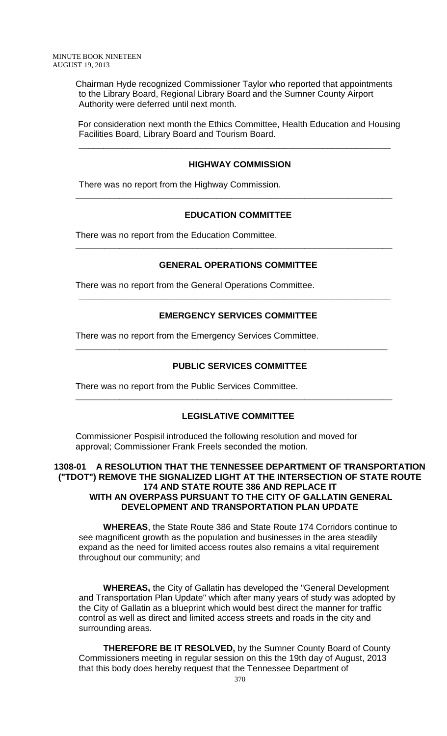Chairman Hyde recognized Commissioner Taylor who reported that appointments to the Library Board, Regional Library Board and the Sumner County Airport Authority were deferred until next month.

For consideration next month the Ethics Committee, Health Education and Housing Facilities Board, Library Board and Tourism Board.

\_\_\_\_\_\_\_\_\_\_\_\_\_\_\_\_\_\_\_\_\_\_\_\_\_\_\_\_\_\_\_\_\_\_\_\_\_\_\_\_\_\_\_\_\_\_\_\_\_\_\_\_\_\_\_\_\_\_\_\_\_\_\_\_

### **HIGHWAY COMMISSION**

There was no report from the Highway Commission.

#### **EDUCATION COMMITTEE**

**\_\_\_\_\_\_\_\_\_\_\_\_\_\_\_\_\_\_\_\_\_\_\_\_\_\_\_\_\_\_\_\_\_\_\_\_\_\_\_\_\_\_\_\_\_\_\_\_\_\_\_\_\_\_\_\_\_\_\_\_\_\_\_\_\_**

There was no report from the Education Committee.

### **GENERAL OPERATIONS COMMITTEE**

**\_\_\_\_\_\_\_\_\_\_\_\_\_\_\_\_\_\_\_\_\_\_\_\_\_\_\_\_\_\_\_\_\_\_\_\_\_\_\_\_\_\_\_\_\_\_\_\_\_\_\_\_\_\_\_\_\_\_\_\_\_\_\_\_\_**

There was no report from the General Operations Committee.

# **EMERGENCY SERVICES COMMITTEE**

**\_\_\_\_\_\_\_\_\_\_\_\_\_\_\_\_\_\_\_\_\_\_\_\_\_\_\_\_\_\_\_\_\_\_\_\_\_\_\_\_\_\_\_\_\_\_\_\_\_\_\_\_\_\_\_\_\_\_\_\_\_\_\_\_**

There was no report from the Emergency Services Committee.

# **PUBLIC SERVICES COMMITTEE**

**\_\_\_\_\_\_\_\_\_\_\_\_\_\_\_\_\_\_\_\_\_\_\_\_\_\_\_\_\_\_\_\_\_\_\_\_\_\_\_\_\_\_\_\_\_\_\_\_\_\_\_\_\_\_\_\_\_\_\_\_\_\_\_\_**

There was no report from the Public Services Committee.

# **LEGISLATIVE COMMITTEE**

**\_\_\_\_\_\_\_\_\_\_\_\_\_\_\_\_\_\_\_\_\_\_\_\_\_\_\_\_\_\_\_\_\_\_\_\_\_\_\_\_\_\_\_\_\_\_\_\_\_\_\_\_\_\_\_\_\_\_\_\_\_\_\_\_\_**

Commissioner Pospisil introduced the following resolution and moved for approval; Commissioner Frank Freels seconded the motion.

### **1308-01 A RESOLUTION THAT THE TENNESSEE DEPARTMENT OF TRANSPORTATION ("TDOT") REMOVE THE SIGNALIZED LIGHT AT THE INTERSECTION OF STATE ROUTE 174 AND STATE ROUTE 386 AND REPLACE IT WITH AN OVERPASS PURSUANT TO THE CITY OF GALLATIN GENERAL DEVELOPMENT AND TRANSPORTATION PLAN UPDATE**

 **WHEREAS**, the State Route 386 and State Route 174 Corridors continue to see magnificent growth as the population and businesses in the area steadily expand as the need for limited access routes also remains a vital requirement throughout our community; and

 **WHEREAS,** the City of Gallatin has developed the "General Development and Transportation Plan Update" which after many years of study was adopted by the City of Gallatin as a blueprint which would best direct the manner for traffic control as well as direct and limited access streets and roads in the city and surrounding areas.

 **THEREFORE BE IT RESOLVED,** by the Sumner County Board of County Commissioners meeting in regular session on this the 19th day of August, 2013 that this body does hereby request that the Tennessee Department of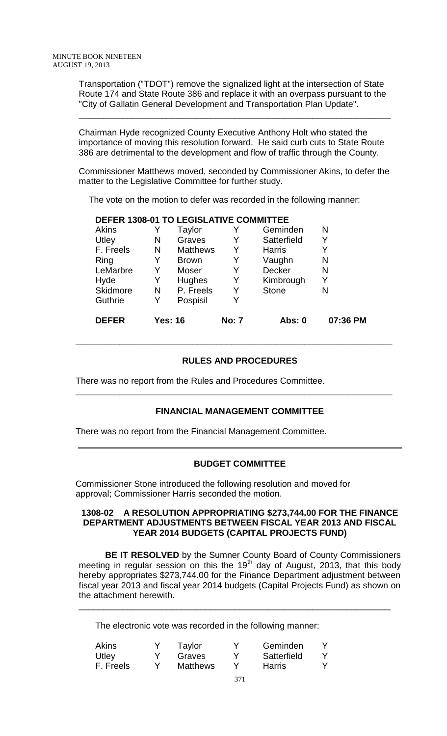Transportation ("TDOT") remove the signalized light at the intersection of State Route 174 and State Route 386 and replace it with an overpass pursuant to the "City of Gallatin General Development and Transportation Plan Update".

\_\_\_\_\_\_\_\_\_\_\_\_\_\_\_\_\_\_\_\_\_\_\_\_\_\_\_\_\_\_\_\_\_\_\_\_\_\_\_\_\_\_\_\_\_\_\_\_\_\_\_\_\_\_\_\_\_\_\_\_\_\_\_\_

Chairman Hyde recognized County Executive Anthony Holt who stated the importance of moving this resolution forward. He said curb cuts to State Route 386 are detrimental to the development and flow of traffic through the County.

Commissioner Matthews moved, seconded by Commissioner Akins, to defer the matter to the Legislative Committee for further study.

The vote on the motion to defer was recorded in the following manner:

### **DEFER 1308-01 TO LEGISLATIVE COMMITTEE**

| <b>DEFER</b> |   | <b>Yes: 16</b>  | <b>No: 7</b> | Abs: 0        | 07:36 PM |
|--------------|---|-----------------|--------------|---------------|----------|
| Guthrie      | Y | Pospisil        | Y            |               |          |
| Skidmore     | N | P. Freels       | Y            | <b>Stone</b>  | N        |
| Hyde         | Y | Hughes          | Y            | Kimbrough     | Y        |
| LeMarbre     | Y | Moser           | Y            | Decker        | N        |
| Ring         |   | <b>Brown</b>    | Y            | Vaughn        | N        |
| F. Freels    | N | <b>Matthews</b> | Y            | <b>Harris</b> | Y        |
| Utley        | N | Graves          | Y            | Satterfield   | Y        |
| Akins        |   | Taylor          | Y            | Geminden      | Ν        |

### **RULES AND PROCEDURES**

**\_\_\_\_\_\_\_\_\_\_\_\_\_\_\_\_\_\_\_\_\_\_\_\_\_\_\_\_\_\_\_\_\_\_\_\_\_\_\_\_\_\_\_\_\_\_\_\_\_\_\_\_\_\_\_\_\_\_\_\_\_\_\_\_\_**

**\_\_\_\_\_\_\_\_\_\_\_\_\_\_\_\_\_\_\_\_\_\_\_\_\_\_\_\_\_\_\_\_\_\_\_\_\_\_\_\_\_\_\_\_\_\_\_\_\_\_\_\_\_\_\_\_\_\_\_\_\_\_\_\_\_**

There was no report from the Rules and Procedures Committee.

# **FINANCIAL MANAGEMENT COMMITTEE**

There was no report from the Financial Management Committee.

#### **BUDGET COMMITTEE**

Commissioner Stone introduced the following resolution and moved for approval; Commissioner Harris seconded the motion.

#### **1308-02 A RESOLUTION APPROPRIATING \$273,744.00 FOR THE FINANCE DEPARTMENT ADJUSTMENTS BETWEEN FISCAL YEAR 2013 AND FISCAL YEAR 2014 BUDGETS (CAPITAL PROJECTS FUND)**

**BE IT RESOLVED** by the Sumner County Board of County Commissioners meeting in regular session on this the  $19<sup>th</sup>$  day of August, 2013, that this body hereby appropriates \$273,744.00 for the Finance Department adjustment between fiscal year 2013 and fiscal year 2014 budgets (Capital Projects Fund) as shown on the attachment herewith.

\_\_\_\_\_\_\_\_\_\_\_\_\_\_\_\_\_\_\_\_\_\_\_\_\_\_\_\_\_\_\_\_\_\_\_\_\_\_\_\_\_\_\_\_\_\_\_\_\_\_\_\_\_\_\_\_\_\_\_\_\_\_\_\_

The electronic vote was recorded in the following manner:

| Graves          | Satterfield |
|-----------------|-------------|
| <b>Matthews</b> | Harris      |
|                 |             |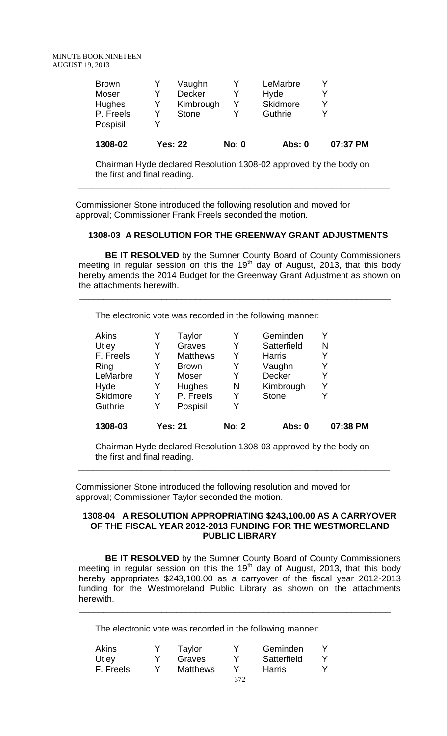| 1308-02       | <b>Yes: 22</b> | <b>No: 0</b> | <b>Abs: 0</b> | 07:37 PM |
|---------------|----------------|--------------|---------------|----------|
| Pospisil      |                |              |               |          |
| P. Freels     | Stone          |              | Guthrie       |          |
| <b>Hughes</b> | Kimbrough      | Y            | Skidmore      |          |
| Moser         | <b>Decker</b>  |              | Hyde          |          |
| <b>Brown</b>  | Vaughn         |              | LeMarbre      |          |

Chairman Hyde declared Resolution 1308-02 approved by the body on the first and final reading.

**\_\_\_\_\_\_\_\_\_\_\_\_\_\_\_\_\_\_\_\_\_\_\_\_\_\_\_\_\_\_\_\_\_\_\_\_\_\_\_\_\_\_\_\_\_\_\_\_\_\_\_\_\_\_\_\_\_\_\_\_\_\_\_\_**

Commissioner Stone introduced the following resolution and moved for approval; Commissioner Frank Freels seconded the motion.

#### **1308-03 A RESOLUTION FOR THE GREENWAY GRANT ADJUSTMENTS**

**BE IT RESOLVED** by the Sumner County Board of County Commissioners meeting in regular session on this the 19<sup>th</sup> day of August, 2013, that this body hereby amends the 2014 Budget for the Greenway Grant Adjustment as shown on the attachments herewith.

\_\_\_\_\_\_\_\_\_\_\_\_\_\_\_\_\_\_\_\_\_\_\_\_\_\_\_\_\_\_\_\_\_\_\_\_\_\_\_\_\_\_\_\_\_\_\_\_\_\_\_\_\_\_\_\_\_\_\_\_\_\_\_\_

The electronic vote was recorded in the following manner:

| 1308-03      |   | <b>Yes: 21</b>  | <b>No: 2</b> | Abs: 0        | 07:38 PM |
|--------------|---|-----------------|--------------|---------------|----------|
| Guthrie      | Y | Pospisil        | Y            |               |          |
| Skidmore     | Y | P. Freels       | Y            | <b>Stone</b>  |          |
| Hyde         | Y | <b>Hughes</b>   | N            | Kimbrough     | Y        |
| LeMarbre     | Y | Moser           | Y            | Decker        | Y        |
| Ring         | Y | <b>Brown</b>    | Y            | Vaughn        |          |
| F. Freels    | Y | <b>Matthews</b> | Y            | <b>Harris</b> |          |
| Utley        | Y | Graves          | Y            | Satterfield   | N        |
| <b>Akins</b> |   | Taylor          | Y            | Geminden      |          |

Chairman Hyde declared Resolution 1308-03 approved by the body on the first and final reading.

**\_\_\_\_\_\_\_\_\_\_\_\_\_\_\_\_\_\_\_\_\_\_\_\_\_\_\_\_\_\_\_\_\_\_\_\_\_\_\_\_\_\_\_\_\_\_\_\_\_\_\_\_\_\_\_\_\_\_\_\_\_\_\_\_**

Commissioner Stone introduced the following resolution and moved for approval; Commissioner Taylor seconded the motion.

#### **1308-04 A RESOLUTION APPROPRIATING \$243,100.00 AS A CARRYOVER OF THE FISCAL YEAR 2012-2013 FUNDING FOR THE WESTMORELAND PUBLIC LIBRARY**

**BE IT RESOLVED** by the Sumner County Board of County Commissioners meeting in regular session on this the 19<sup>th</sup> day of August, 2013, that this body hereby appropriates \$243,100.00 as a carryover of the fiscal year 2012-2013 funding for the Westmoreland Public Library as shown on the attachments herewith.

\_\_\_\_\_\_\_\_\_\_\_\_\_\_\_\_\_\_\_\_\_\_\_\_\_\_\_\_\_\_\_\_\_\_\_\_\_\_\_\_\_\_\_\_\_\_\_\_\_\_\_\_\_\_\_\_\_\_\_\_\_\_\_\_

The electronic vote was recorded in the following manner:

| Akins     | Taylor          |     | Geminden    |  |
|-----------|-----------------|-----|-------------|--|
| Utley     | Graves          |     | Satterfield |  |
| F. Freels | <b>Matthews</b> |     | Harris      |  |
|           |                 | 372 |             |  |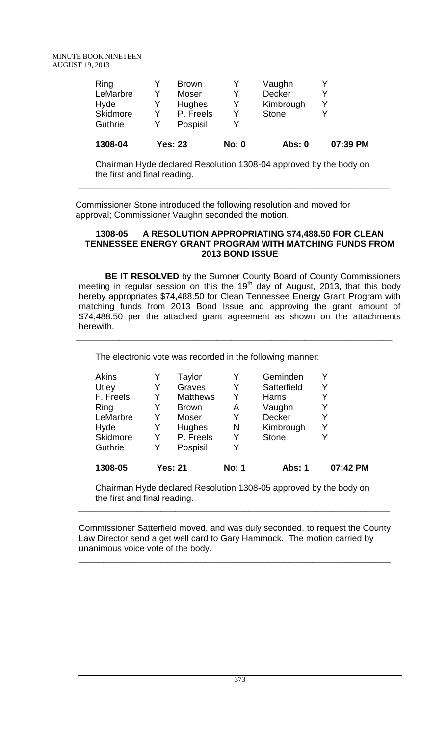| 1308-04  |   | <b>Yes: 23</b> | <b>No: 0</b> | Abs: 0       | 07:39 PM |
|----------|---|----------------|--------------|--------------|----------|
| Guthrie  |   | Pospisil       |              |              |          |
| Skidmore |   | P. Freels      | v            | <b>Stone</b> |          |
| Hyde     |   | <b>Hughes</b>  | Υ            | Kimbrough    |          |
| LeMarbre | v | Moser          |              | Decker       |          |
| Ring     |   | <b>Brown</b>   |              | Vaughn       |          |

Chairman Hyde declared Resolution 1308-04 approved by the body on the first and final reading.

**\_\_\_\_\_\_\_\_\_\_\_\_\_\_\_\_\_\_\_\_\_\_\_\_\_\_\_\_\_\_\_\_\_\_\_\_\_\_\_\_\_\_\_\_\_\_\_\_\_\_\_\_\_\_\_\_\_\_\_\_\_\_\_\_**

Commissioner Stone introduced the following resolution and moved for approval; Commissioner Vaughn seconded the motion.

#### **1308-05 A RESOLUTION APPROPRIATING \$74,488.50 FOR CLEAN TENNESSEE ENERGY GRANT PROGRAM WITH MATCHING FUNDS FROM 2013 BOND ISSUE**

**BE IT RESOLVED** by the Sumner County Board of County Commissioners meeting in regular session on this the 19<sup>th</sup> day of August, 2013, that this body hereby appropriates \$74,488.50 for Clean Tennessee Energy Grant Program with matching funds from 2013 Bond Issue and approving the grant amount of \$74,488.50 per the attached grant agreement as shown on the attachments herewith.

**\_\_\_\_\_\_\_\_\_\_\_\_\_\_\_\_\_\_\_\_\_\_\_\_\_\_\_\_\_\_\_\_\_\_\_\_\_\_\_\_\_\_\_\_\_\_\_\_\_\_\_\_\_\_\_\_\_\_\_\_\_\_\_\_\_**

The electronic vote was recorded in the following manner:

| Akins<br>Utley | Y | Taylor<br>Graves | Y<br>Y       | Geminden<br>Satterfield | Y        |
|----------------|---|------------------|--------------|-------------------------|----------|
| F. Freels      | Y | <b>Matthews</b>  | Y            | <b>Harris</b>           | Y        |
| Ring           |   | <b>Brown</b>     | Α            | Vaughn                  |          |
| LeMarbre       | Y | Moser            | Y            | Decker                  | Y        |
| Hyde           | Y | Hughes           | N            | Kimbrough               | Y        |
| Skidmore       | Y | P. Freels        | Y            | <b>Stone</b>            | Y        |
| Guthrie        | Y | Pospisil         | Y            |                         |          |
| 1308-05        |   | <b>Yes: 21</b>   | <b>No: 1</b> | Abs: 1                  | 07:42 PM |

Chairman Hyde declared Resolution 1308-05 approved by the body on the first and final reading.

**\_\_\_\_\_\_\_\_\_\_\_\_\_\_\_\_\_\_\_\_\_\_\_\_\_\_\_\_\_\_\_\_\_\_\_\_\_\_\_\_\_\_\_\_\_\_\_\_\_\_\_\_\_\_\_\_\_\_\_\_\_\_\_\_**

Commissioner Satterfield moved, and was duly seconded, to request the County Law Director send a get well card to Gary Hammock. The motion carried by unanimous voice vote of the body.